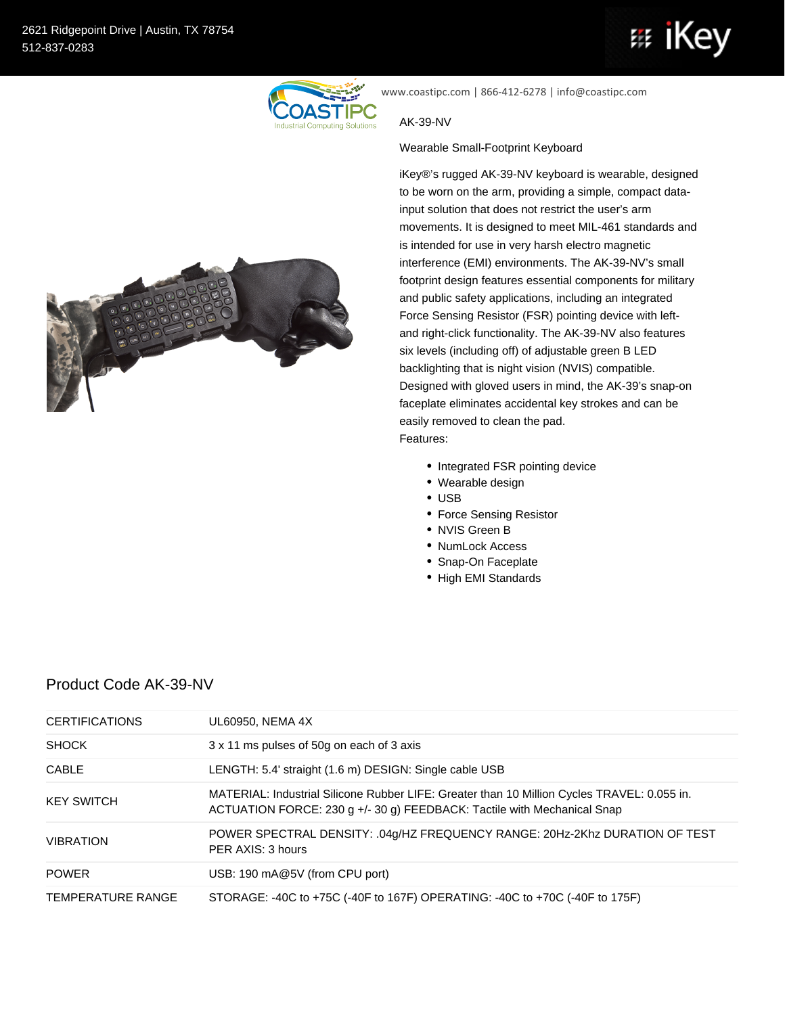## iKe 亞



www.coastipc.com | 866-412-6278 | info@coastipc.com

## AK-39-NV

## Wearable Small-Footprint Keyboard

iKey®'s rugged AK-39-NV keyboard is wearable, designed to be worn on the arm, providing a simple, compact datainput solution that does not restrict the user's arm movements. It is designed to meet MIL-461 standards and is intended for use in very harsh electro magnetic interference (EMI) environments. The AK-39-NV's small footprint design features essential components for military and public safety applications, including an integrated Force Sensing Resistor (FSR) pointing device with leftand right-click functionality. The AK-39-NV also features six levels (including off) of adjustable green B LED backlighting that is night vision (NVIS) compatible. Designed with gloved users in mind, the AK-39's snap-on faceplate eliminates accidental key strokes and can be easily removed to clean the pad. Features:

- Integrated FSR pointing device
- Wearable design
- USB
- Force Sensing Resistor
- NVIS Green B
- NumLock Access
- Snap-On Faceplate
- High EMI Standards



## Product Code AK-39-NV

| <b>CERTIFICATIONS</b> | UL60950, NEMA 4X                                                                                                                                                       |
|-----------------------|------------------------------------------------------------------------------------------------------------------------------------------------------------------------|
| <b>SHOCK</b>          | 3 x 11 ms pulses of 50g on each of 3 axis                                                                                                                              |
| CABLE                 | LENGTH: 5.4' straight (1.6 m) DESIGN: Single cable USB                                                                                                                 |
| <b>KEY SWITCH</b>     | MATERIAL: Industrial Silicone Rubber LIFE: Greater than 10 Million Cycles TRAVEL: 0.055 in.<br>ACTUATION FORCE: 230 g +/- 30 g) FEEDBACK: Tactile with Mechanical Snap |
| <b>VIBRATION</b>      | POWER SPECTRAL DENSITY: .04g/HZ FREQUENCY RANGE: 20Hz-2Khz DURATION OF TEST<br>PER AXIS: 3 hours                                                                       |
| <b>POWER</b>          | USB: 190 mA@5V (from CPU port)                                                                                                                                         |
| TEMPERATURE RANGE     | STORAGE: -40C to +75C (-40F to 167F) OPERATING: -40C to +70C (-40F to 175F)                                                                                            |